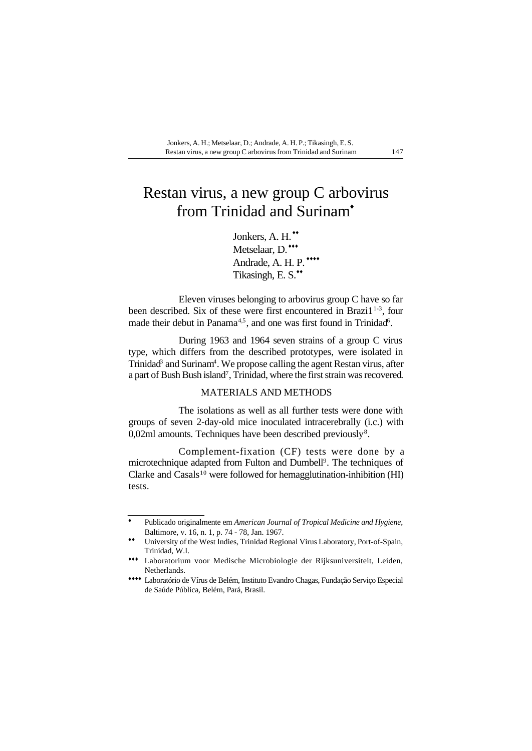# Restan virus, a new group C arbovirus from Trinidad and Surinam<sup>+</sup>

Jonkers, A. H.<sup>\*\*</sup> Metselaar, D.\*\*\* Andrade, A. H. P.\*\*\*\* Tikasingh, E. S.\*\*

Eleven viruses belonging to arbovirus group C have so far been described. Six of these were first encountered in Brazi1<sup>1-3</sup>, four made their debut in Panama<sup>4,5</sup>, and one was first found in Trinidad<sup>6</sup>.

During 1963 and 1964 seven strains of a group C virus type, which differs from the described prototypes, were isolated in Trinidad<sup>3</sup> and Surinam<sup>4</sup>. We propose calling the agent Restan virus, after a part of Bush Bush island<sup>7</sup>, Trinidad, where the first strain was recovered.

# MATERIALS AND METHODS

The isolations as well as all further tests were done with groups of seven 2-day-old mice inoculated intracerebrally (i.c.) with  $0,02$ ml amounts. Techniques have been described previously<sup>8</sup>.

Complement-fixation (CF) tests were done by a microtechnique adapted from Fulton and Dumbell<sup>9</sup>. The techniques of Clarke and Casals<sup>10</sup> were followed for hemagglutination-inhibition (HI) tests.

Publicado originalmente em *American Journal of Tropical Medicine and Hygiene*, Baltimore, v. 16, n. 1, p. 74 - 78, Jan. 1967. ♦

University of the West Indies, Trinidad Regional Virus Laboratory, Port-of-Spain, Trinidad, W.I. ♦♦

Laboratorium voor Medische Microbiologie der Rijksuniversiteit, Leiden, ♦♦♦ Netherlands.

Laboratório de Vírus de Belém, Instituto Evandro Chagas, Fundação Serviço Especial ♦♦♦♦de Saúde Pública, Belém, Pará, Brasil.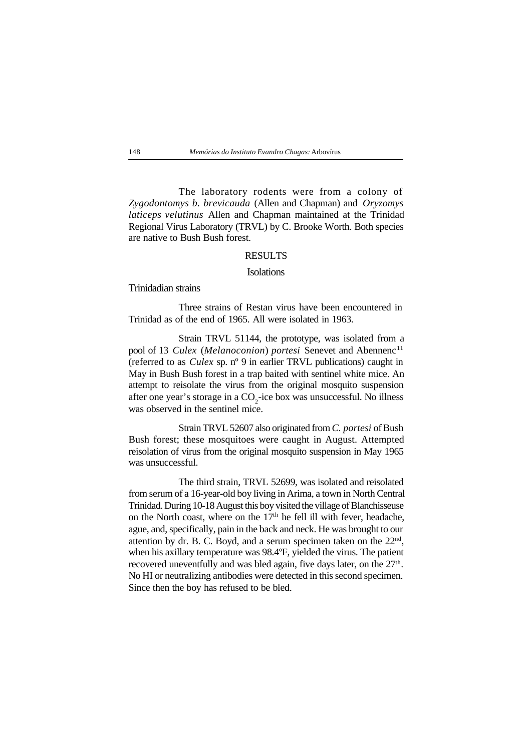#### 148 *Memórias do Instituto Evandro Chagas:* Arbovírus

The laboratory rodents were from a colony of *Zygodontomys b. brevicauda* (Allen and Chapman) and *Oryzomys laticeps velutinus* Allen and Chapman maintained at the Trinidad Regional Virus Laboratory (TRVL) by C. Brooke Worth. Both species are native to Bush Bush forest.

### RESULTS

### **Isolations**

Trinidadian strains

Three strains of Restan virus have been encountered in Trinidad as of the end of 1965. All were isolated in 1963.

Strain TRVL 51144, the prototype, was isolated from a pool of 13 *Culex (Melanoconion)* portesi Senevet and Abennenc<sup>11</sup> (referred to as *Culex* sp. nº 9 in earlier TRVL publications) caught in May in Bush Bush forest in a trap baited with sentinel white mice. An attempt to reisolate the virus from the original mosquito suspension after one year's storage in a  $CO_2$ -ice box was unsuccessful. No illness was observed in the sentinel mice.

Strain TRVL 52607 also originated from *C. portesi* of Bush Bush forest; these mosquitoes were caught in August. Attempted reisolation of virus from the original mosquito suspension in May 1965 was unsuccessful.

The third strain, TRVL 52699, was isolated and reisolated from serum of a 16-year-old boy living in Arima, a town in North Central Trinidad. During 10-18 August this boy visited the village of Blanchisseuse on the North coast, where on the  $17<sup>th</sup>$  he fell ill with fever, headache, ague, and, specifically, pain in the back and neck. He was brought to our attention by dr. B. C. Boyd, and a serum specimen taken on the  $22<sup>nd</sup>$ , when his axillary temperature was 98.4ºF, yielded the virus. The patient recovered uneventfully and was bled again, five days later, on the 27<sup>th</sup>. No HI or neutralizing antibodies were detected in this second specimen. Since then the boy has refused to be bled.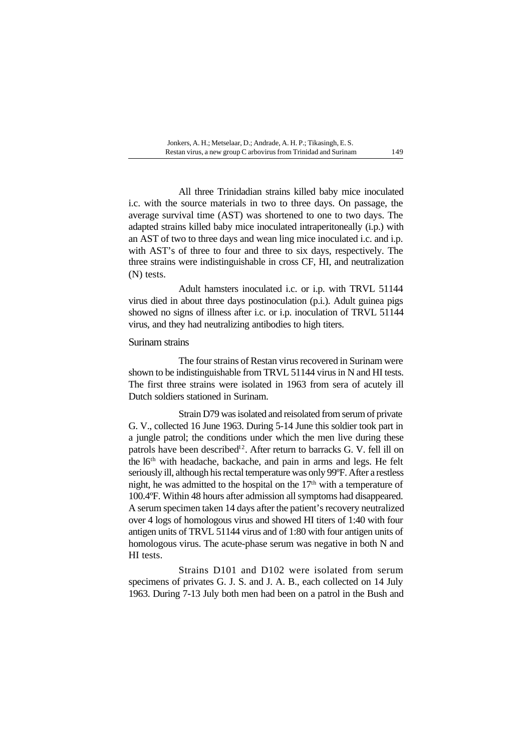All three Trinidadian strains killed baby mice inoculated i.c. with the source materials in two to three days. On passage, the average survival time (AST) was shortened to one to two days. The adapted strains killed baby mice inoculated intraperitoneally (i.p.) with an AST of two to three days and wean ling mice inoculated i.c. and i.p. with AST's of three to four and three to six days, respectively. The three strains were indistinguishable in cross CF, HI, and neutralization (N) tests.

Adult hamsters inoculated i.c. or i.p. with TRVL 51144 virus died in about three days postinoculation (p.i.). Adult guinea pigs showed no signs of illness after i.c. or i.p. inoculation of TRVL 51144 virus, and they had neutralizing antibodies to high titers.

Surinam strains

The four strains of Restan virus recovered in Surinam were shown to be indistinguishable from TRVL 51144 virus in N and HI tests. The first three strains were isolated in 1963 from sera of acutely ill Dutch soldiers stationed in Surinam.

Strain D79 was isolated and reisolated from serum of private G. V., collected 16 June 1963. During 5-14 June this soldier took part in a jungle patrol; the conditions under which the men live during these patrols have been described<sup>12</sup>. After return to barracks G. V. fell ill on the l6<sup>th</sup> with headache, backache, and pain in arms and legs. He felt seriously ill, although his rectal temperature was only 99ºF. After a restless night, he was admitted to the hospital on the  $17<sup>th</sup>$  with a temperature of 100.4ºF. Within 48 hours after admission all symptoms had disappeared. A serum specimen taken 14 days after the patient's recovery neutralized over 4 logs of homologous virus and showed HI titers of 1:40 with four antigen units of TRVL 51144 virus and of 1:80 with four antigen units of homologous virus. The acute-phase serum was negative in both N and HI tests.

Strains D101 and D102 were isolated from serum specimens of privates G. J. S. and J. A. B., each collected on 14 July 1963. During 7-13 July both men had been on a patrol in the Bush and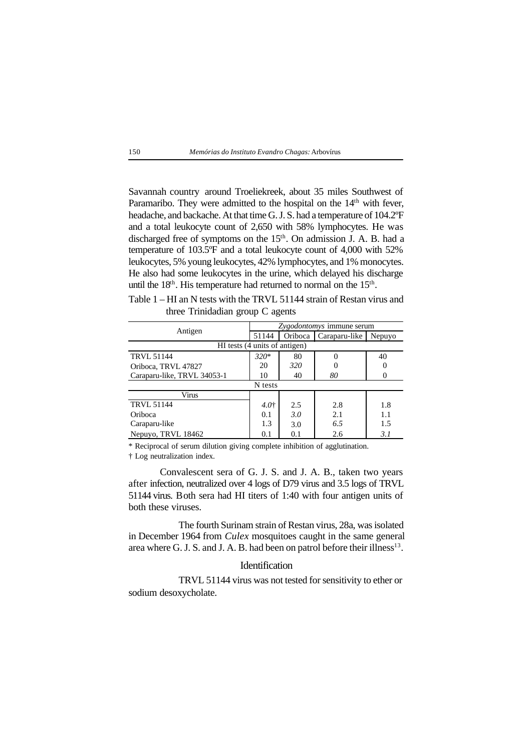#### 150 *Memórias do Instituto Evandro Chagas:* Arbovírus

Savannah country around Troeliekreek, about 35 miles Southwest of Paramaribo. They were admitted to the hospital on the 14<sup>th</sup> with fever, headache, and backache. At that time G. J. S. had a temperature of 104.2ºF and a total leukocyte count of 2,650 with 58% lymphocytes. He was discharged free of symptoms on the 15<sup>th</sup>. On admission J. A. B. had a temperature of 103.5ºF and a total leukocyte count of 4,000 with 52% leukocytes, 5% young leukocytes, 42% lymphocytes, and 1% monocytes. He also had some leukocytes in the urine, which delayed his discharge until the 18<sup>th</sup>. His temperature had returned to normal on the 15<sup>th</sup>.

Table 1 – HI an N tests with the TRVL 51144 strain of Restan virus and three Trinidadian group C agents

| Antigen                     | Zygodontomys immune serum |                               |               |        |  |  |
|-----------------------------|---------------------------|-------------------------------|---------------|--------|--|--|
|                             | 51144                     | Oriboca                       | Caraparu-like | Nepuyo |  |  |
|                             |                           | HI tests (4 units of antigen) |               |        |  |  |
| <b>TRVL 51144</b>           | $320*$                    | 80                            |               | 40     |  |  |
| Oriboca, TRVL 47827         | 20                        | 320                           |               |        |  |  |
| Caraparu-like, TRVL 34053-1 | 10                        | 40                            | 80            |        |  |  |
|                             | N tests                   |                               |               |        |  |  |
| Virus                       |                           |                               |               |        |  |  |
| <b>TRVL 51144</b>           | $4.0^{+}$                 | 2.5                           | 2.8           | 1.8    |  |  |
| Oriboca                     | 0.1                       | 3.0                           | 2.1           | 1.1    |  |  |
| Caraparu-like               | 1.3                       | 3.0                           | 6.5           | 1.5    |  |  |
| Nepuyo, TRVL 18462          | 0.1                       | 0.1                           | 2.6           | 3. I   |  |  |

\* Reciprocal of serum dilution giving complete inhibition of agglutination.

† Log neutralization index.

Convalescent sera of G. J. S. and J. A. B., taken two years after infection, neutralized over 4 logs of D79 virus and 3.5 logs of TRVL 51144 virus. Both sera had HI titers of 1:40 with four antigen units of both these viruses.

The fourth Surinam strain of Restan virus, 28a, was isolated in December 1964 from *Culex* mosquitoes caught in the same general area where G. J. S. and J. A. B. had been on patrol before their illness $13$ .

# Identification

TRVL 51144 virus was not tested for sensitivity to ether or sodium desoxycholate.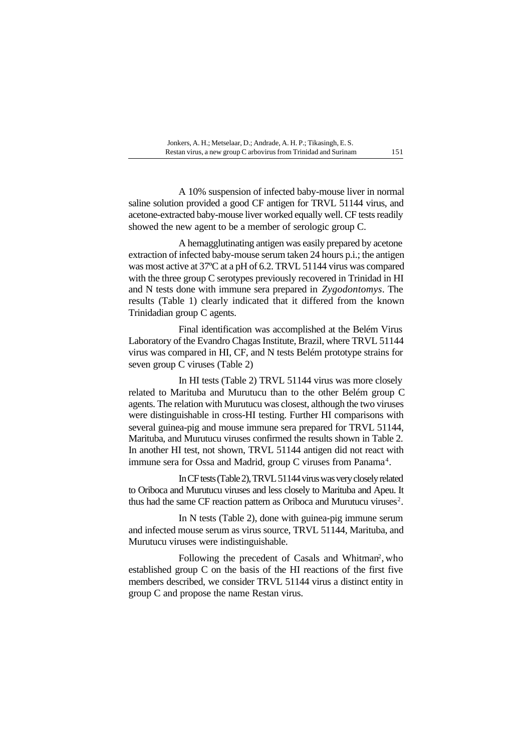A 10% suspension of infected baby-mouse liver in normal saline solution provided a good CF antigen for TRVL 51144 virus, and acetone-extracted baby-mouse liver worked equally well. CF tests readily showed the new agent to be a member of serologic group C.

A hemagglutinating antigen was easily prepared by acetone extraction of infected baby-mouse serum taken 24 hours p.i.; the antigen was most active at 37ºC at a pH of 6.2. TRVL 51144 virus was compared with the three group C serotypes previously recovered in Trinidad in HI and N tests done with immune sera prepared in *Zygodontomys*. The results (Table 1) clearly indicated that it differed from the known Trinidadian group C agents.

Final identification was accomplished at the Belém Virus Laboratory of the Evandro Chagas Institute, Brazil, where TRVL 51144 virus was compared in HI, CF, and N tests Belém prototype strains for seven group C viruses (Table 2)

In HI tests (Table 2) TRVL 51144 virus was more closely related to Marituba and Murutucu than to the other Belém group C agents. The relation with Murutucu was closest, although the two viruses were distinguishable in cross-HI testing. Further HI comparisons with several guinea-pig and mouse immune sera prepared for TRVL 51144, Marituba, and Murutucu viruses confirmed the results shown in Table 2. In another HI test, not shown, TRVL 51144 antigen did not react with immune sera for Ossa and Madrid, group C viruses from Panama<sup>4</sup>.

In CF tests (Table 2), TRVL 51144 virus was very closely related to Oriboca and Murutucu viruses and less closely to Marituba and Apeu. It thus had the same CF reaction pattern as Oriboca and Murutucu viruses<sup>2</sup>.

In N tests (Table 2), done with guinea-pig immune serum and infected mouse serum as virus source, TRVL 51144, Marituba, and Murutucu viruses were indistinguishable.

Following the precedent of Casals and Whitman<sup>2</sup>, who established group C on the basis of the HI reactions of the first five members described, we consider TRVL 51144 virus a distinct entity in group C and propose the name Restan virus.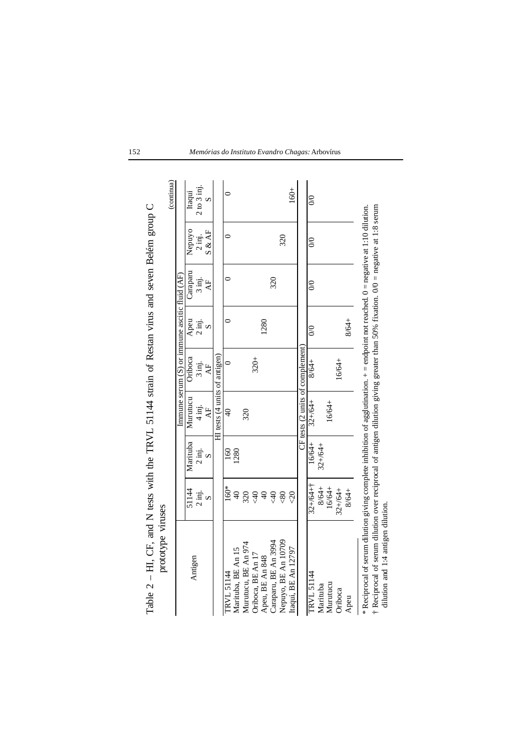| / character with the control of the start of the start of the start of the start of the start of the start of the start of the start of the start of the start of the start of the start of the start of the start of the st<br>prototype viruses |                  |                 |                                  |                                                   |           |                  |                  |                 |
|---------------------------------------------------------------------------------------------------------------------------------------------------------------------------------------------------------------------------------------------------|------------------|-----------------|----------------------------------|---------------------------------------------------|-----------|------------------|------------------|-----------------|
|                                                                                                                                                                                                                                                   |                  |                 |                                  |                                                   |           |                  |                  | (continua)      |
|                                                                                                                                                                                                                                                   |                  |                 |                                  | Immune serum $(S)$ or immune ascitic fluid $(AF)$ |           |                  |                  |                 |
| Antigen                                                                                                                                                                                                                                           | 51144            | Marituba        | Murutucu                         | Oriboca                                           | Apeu      | Caraparu         | Nepuyo           | Itaqui          |
|                                                                                                                                                                                                                                                   | $2 \text{ inj.}$ | $2$ inj.        | $4 \text{ inj.}$                 | $3 \text{ inj.}$                                  | $2$ inj.  | 3 inj.           | $2 \text{ inj.}$ | $2$ to $3$ inj. |
|                                                                                                                                                                                                                                                   |                  | $\mathcal{D}$   | $\overline{A}$                   | $\overline{A}$ F                                  | $\infty$  | $\overline{A}$ F | S & AF           |                 |
|                                                                                                                                                                                                                                                   |                  |                 | $HI$ tests (4 units of antigen)  |                                                   |           |                  |                  |                 |
| TRVL 51144                                                                                                                                                                                                                                        | 160*             | $\overline{50}$ | ₹,                               |                                                   |           |                  |                  |                 |
| Marituba, BE An 15                                                                                                                                                                                                                                | $\overline{Q}$   | 1280            |                                  |                                                   |           |                  |                  |                 |
| Murutucu, BE An 974                                                                                                                                                                                                                               | 320              |                 | 320                              |                                                   |           |                  |                  |                 |
| Oriboca, BE An 17                                                                                                                                                                                                                                 | $rac{4}{3}$      |                 |                                  | $320 +$                                           |           |                  |                  |                 |
| Apeu, BE An 848                                                                                                                                                                                                                                   | $\Theta$         |                 |                                  |                                                   | 1280      |                  |                  |                 |
| Caraparu, BE An 3994                                                                                                                                                                                                                              | $\frac{40}{5}$   |                 |                                  |                                                   |           | 320              |                  |                 |
| Nepuyo, BE An 10709                                                                                                                                                                                                                               | $\leqslant 80$   |                 |                                  |                                                   |           |                  | 320              |                 |
| Itaqui, BE An 12797                                                                                                                                                                                                                               | $\overline{3}$   |                 |                                  |                                                   |           |                  |                  | 160+            |
|                                                                                                                                                                                                                                                   |                  |                 | CF tests (2 units of complement) |                                                   |           |                  |                  |                 |
| TRVL 51144                                                                                                                                                                                                                                        | $32+164+7$       | 16/64+          | $32 + 64 +$                      | 8/64+                                             | $\otimes$ | $\infty$         | $\infty$         | $\approx$       |
| Marituba                                                                                                                                                                                                                                          | 8/64+            | $32+64+$        |                                  |                                                   |           |                  |                  |                 |
| Murutucu                                                                                                                                                                                                                                          | 16/64+           |                 | 16/64+                           |                                                   |           |                  |                  |                 |
| Oriboca                                                                                                                                                                                                                                           | $32 + 64 +$      |                 |                                  | 16/64+                                            |           |                  |                  |                 |
| Apeu                                                                                                                                                                                                                                              | 8/64+            |                 |                                  |                                                   | 8/64+     |                  |                  |                 |
| * Reciprocal of serum dilution giving complete inhibition of agglutination. + = endpoint not reached. 0 = negative at 1:10 dilution.                                                                                                              |                  |                 |                                  |                                                   |           |                  |                  |                 |
| <sup>†</sup> Reciprocal of serum dilution over reciprocal of antigen dilution giving greater than 50% fixation. 0/0 = negative at 1:8 serum                                                                                                       |                  |                 |                                  |                                                   |           |                  |                  |                 |
| dilution and 1:4 antigen dilution.                                                                                                                                                                                                                |                  |                 |                                  |                                                   |           |                  |                  |                 |

Table  $2 - HI$ . CF, and N tests with the TRVL 51144 strain of Restan virus and seven Belém group C Table 2 – HI, CF, and N tests with the TRVL 51144 strain of Restan virus and seven Belém group C

152 *Memórias do Instituto Evandro Chagas:* Arbovírus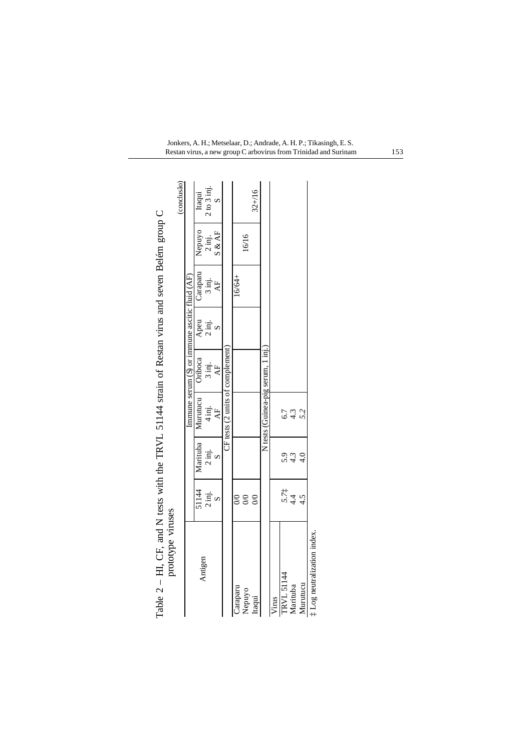|            | prototype viruses   |            |                                   |                                                   |                  |          |                  |               |
|------------|---------------------|------------|-----------------------------------|---------------------------------------------------|------------------|----------|------------------|---------------|
|            |                     |            |                                   |                                                   |                  |          |                  | (conclusão)   |
|            |                     |            |                                   | Immune serum $(S)$ or immune ascitic fluid $(AF)$ |                  |          |                  |               |
|            | 51144               | Marituba   | Murutucu                          | Oriboca                                           | Apeu             | Caraparu | Nepuyo           | Itaqui        |
| Antigen    | $2 \overline{m}$ j. | 2 inj.     | $4 \text{ inj.}$                  | 3 inj.                                            | $2 \text{ inj.}$ | 3 inj.   | $2 \text{ inj.}$ | $2 to 3$ inj. |
|            |                     |            | $\overline{AB}$                   | AF                                                |                  | AF       | S & AF           |               |
|            |                     |            | CF tests (2 units of complement   |                                                   |                  |          |                  |               |
| Caraparu   | $_{\odot}$          |            |                                   |                                                   |                  | 16/64+   |                  |               |
| Nepuyo     | $\infty$            |            |                                   |                                                   |                  |          | 16/16            |               |
| taqui      | $\infty$            |            |                                   |                                                   |                  |          |                  | $32 + 16$     |
|            |                     |            | N tests (Guinea-pig serum, 1 inj. |                                                   |                  |          |                  |               |
| Virus      |                     |            |                                   |                                                   |                  |          |                  |               |
| TRVL 51144 |                     |            | 6.7                               |                                                   |                  |          |                  |               |
| Marituba   | $5.71$<br>4.4       | 5.4<br>4.3 | 4.3                               |                                                   |                  |          |                  |               |
| Murutucu   | 4.5                 |            | 5.2                               |                                                   |                  |          |                  |               |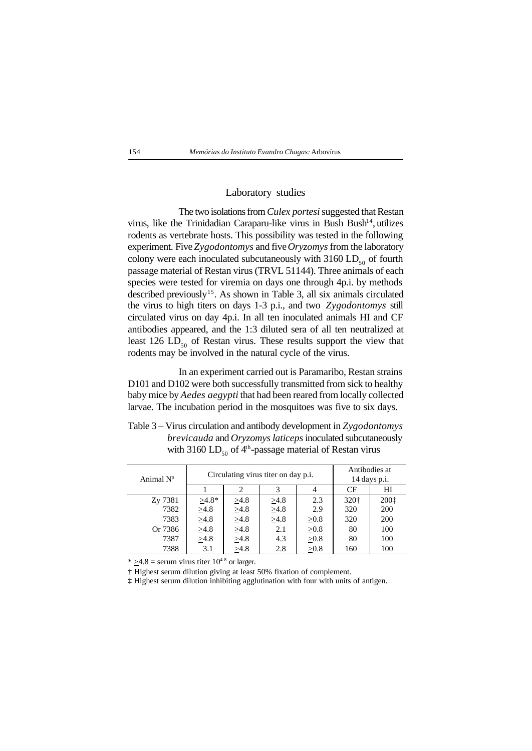

# Laboratory studies

The two isolations from *Culex portesi* suggested that Restan virus, like the Trinidadian Caraparu-like virus in Bush Bush<sup>14</sup>, utilizes rodents as vertebrate hosts. This possibility was tested in the following experiment. Five *Zygodontomys* and five *Oryzomys* from the laboratory colony were each inoculated subcutaneously with  $3160$  LD<sub>50</sub> of fourth passage material of Restan virus (TRVL 51144). Three animals of each species were tested for viremia on days one through 4p.i. by methods described previously<sup>15</sup>. As shown in Table 3, all six animals circulated the virus to high titers on days 1-3 p.i., and two *Zygodontomys* still circulated virus on day 4p.i. In all ten inoculated animals HI and CF antibodies appeared, and the 1:3 diluted sera of all ten neutralized at least 126 LD $_{50}$  of Restan virus. These results support the view that rodents may be involved in the natural cycle of the virus.

In an experiment carried out is Paramaribo, Restan strains D101 and D102 were both successfully transmitted from sick to healthy baby mice by *Aedes aegypti* that had been reared from locally collected larvae. The incubation period in the mosquitoes was five to six days.

Table 3 – Virus circulation and antibody development in *Zygodontomys brevicauda* and *Oryzomys laticeps* inoculated subcutaneously with 3160 LD<sub>50</sub> of  $4<sup>th</sup>$ -passage material of Restan virus

| Animal N° |            |            | Circulating virus titer on day p.i. |            | Antibodies at<br>$14$ days p.i. |      |
|-----------|------------|------------|-------------------------------------|------------|---------------------------------|------|
|           |            |            |                                     |            | CF                              | ΗΙ   |
| Zy 7381   | $>4.8*$    | >4.8       | >4.8                                | 2.3        | 320 <sup>+</sup>                | 2001 |
| 7382      | >4.8       | $\geq 4.8$ | $\geq 4.8$                          | 2.9        | 320                             | 200  |
| 7383      | $\geq 4.8$ | $\geq 4.8$ | >4.8                                | $\geq 0.8$ | 320                             | 200  |
| Or 7386   | $\geq 4.8$ | $\geq 4.8$ | 2.1                                 | $\geq 0.8$ | 80                              | 100  |
| 7387      | >4.8       | $\geq4.8$  | 4.3                                 | $\geq 0.8$ | 80                              | 100  |
| 7388      | 3.1        | >4.8       | 2.8                                 | >0.8       | 160                             | 100  |

\*  $\geq$ 4.8 = serum virus titer 10<sup>4.8</sup> or larger.

† Highest serum dilution giving at least 50% fixation of complement.

‡ Highest serum dilution inhibiting agglutination with four with units of antigen.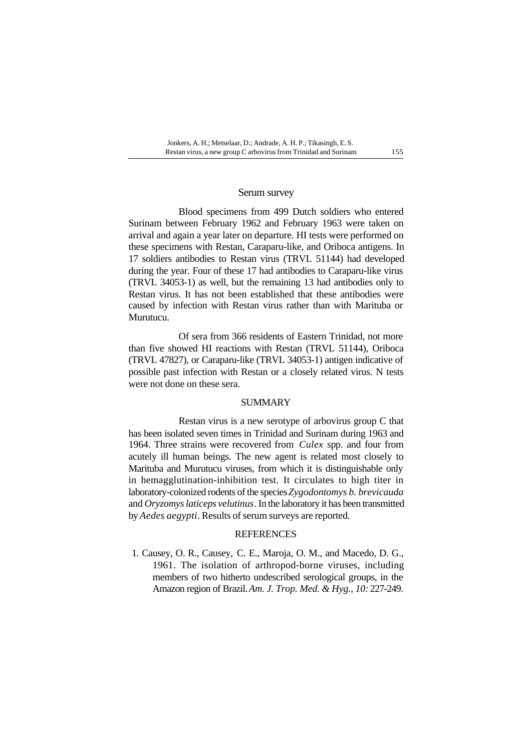## Serum survey

Blood specimens from 499 Dutch soldiers who entered Surinam between February 1962 and February 1963 were taken on arrival and again a year later on departure. HI tests were performed on these specimens with Restan, Caraparu-like, and Oriboca antigens. In 17 soldiers antibodies to Restan virus (TRVL 51144) had developed during the year. Four of these 17 had antibodies to Caraparu-like virus (TRVL 34053-1) as well, but the remaining 13 had antibodies only to Restan virus. It has not been established that these antibodies were caused by infection with Restan virus rather than with Marituba or Murutucu.

Of sera from 366 residents of Eastern Trinidad, not more than five showed HI reactions with Restan (TRVL 51144), Oriboca (TRVL 47827), or Caraparu-like (TRVL 34053-1) antigen indicative of possible past infection with Restan or a closely related virus. N tests were not done on these sera.

#### SUMMARY

Restan virus is a new serotype of arbovirus group C that has been isolated seven times in Trinidad and Surinam during 1963 and 1964. Three strains were recovered from *Culex* spp. and four from acutely ill human beings. The new agent is related most closely to Marituba and Murutucu viruses, from which it is distinguishable only in hemagglutination-inhibition test. It circulates to high titer in laboratory-colonized rodents of the species *Zygodontomys b. brevicauda* and *Oryzomys laticeps velutinus*. In the laboratory it has been transmitted by *Aedes aegypti*. Results of serum surveys are reported.

# **REFERENCES**

1. Causey, O. R., Causey, C. E., Maroja, O. M., and Macedo, D. G., 1961. The isolation of arthropod-borne viruses, including members of two hitherto undescribed serological groups, in the Amazon region of Brazil. *Am. J. Trop. Med. & Hyg., 10:* 227-249.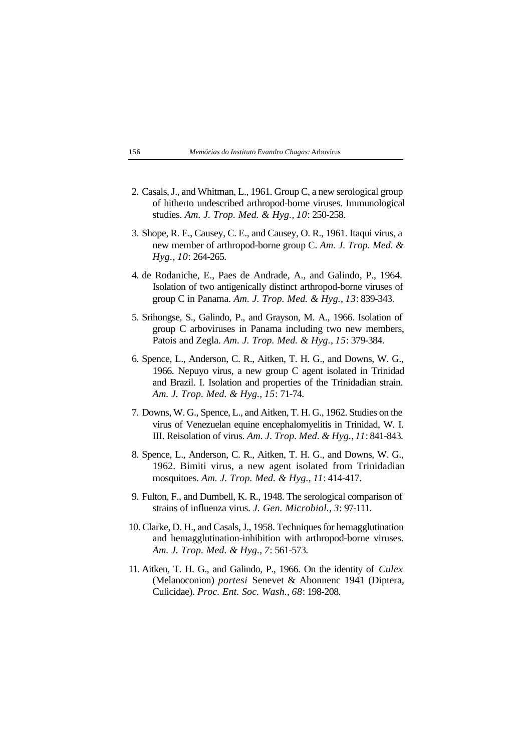- 2. Casals, J., and Whitman, L., 1961. Group C, a new serological group of hitherto undescribed arthropod-borne viruses. Immunological studies. *Am. J. Trop. Med. & Hyg.*, *10*: 250-258.
- 3. Shope, R. E., Causey, C. E., and Causey, O. R., 1961. Itaqui virus, a new member of arthropod-borne group C. *Am. J. Trop. Med. & Hyg.*, *10*: 264-265.
- 4. de Rodaniche, E., Paes de Andrade, A., and Galindo, P., 1964. Isolation of two antigenically distinct arthropod-borne viruses of group C in Panama. *Am. J. Trop. Med. & Hyg.*, *13*: 839-343.
- 5. Srihongse, S., Galindo, P., and Grayson, M. A., 1966. Isolation of group C arboviruses in Panama including two new members, Patois and Zegla. *Am. J. Trop. Med. & Hyg.*, *15*: 379-384.
- 6. Spence, L., Anderson, C. R., Aitken, T. H. G., and Downs, W. G., 1966. Nepuyo virus, a new group C agent isolated in Trinidad and Brazil. I. Isolation and properties of the Trinidadian strain. *Am. J. Trop. Med. & Hyg.*, *15*: 71-74.
- 7. Downs, W. G., Spence, L., and Aitken, T. H. G., 1962. Studies on the virus of Venezuelan equine encephalomyelitis in Trinidad, W. I. III. Reisolation of virus. *Am. J. Trop. Med. & Hyg.*, *11*: 841-843.
- 8. Spence, L., Anderson, C. R., Aitken, T. H. G., and Downs, W. G., 1962. Bimiti virus, a new agent isolated from Trinidadian mosquitoes. *Am. J. Trop. Med. & Hyg.*, *11*: 414-417.
- 9. Fulton, F., and Dumbell, K. R., 1948. The serological comparison of strains of influenza virus. *J. Gen. Microbiol.*, *3*: 97-111.
- 10. Clarke, D. H., and Casals, J., 1958. Techniques for hemagglutination and hemagglutination-inhibition with arthropod-borne viruses. *Am. J. Trop. Med. & Hyg.*, *7*: 561-573.
- 11. Aitken, T. H. G., and Galindo, P., 1966. On the identity of *Culex* (Melanoconion) *portesi* Senevet & Abonnenc 1941 (Diptera, Culicidae). *Proc. Ent. Soc. Wash.*, *68*: 198-208.